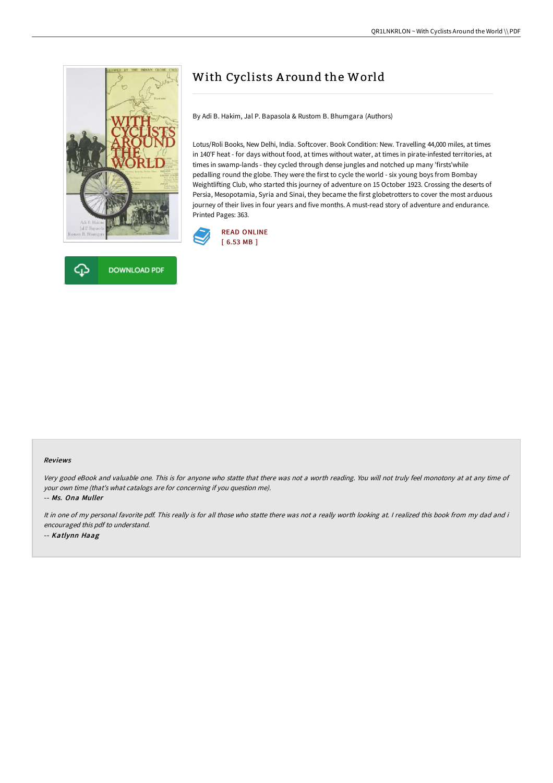



# With Cyclists Around the World

By Adi B. Hakim, Jal P. Bapasola & Rustom B. Bhumgara (Authors)

Lotus/Roli Books, New Delhi, India. Softcover. Book Condition: New. Travelling 44,000 miles, at times in 140'F heat - for days without food, at times without water, at times in pirate-infested territories, at times in swamp-lands - they cycled through dense jungles and notched up many 'firsts'while pedalling round the globe. They were the first to cycle the world - six young boys from Bombay Weightlifting Club, who started this journey of adventure on 15 October 1923. Crossing the deserts of Persia, Mesopotamia, Syria and Sinai, they became the first globetrotters to cover the most arduous journey of their lives in four years and five months. A must-read story of adventure and endurance. Printed Pages: 363.



#### Reviews

Very good eBook and valuable one. This is for anyone who statte that there was not <sup>a</sup> worth reading. You will not truly feel monotony at at any time of your own time (that's what catalogs are for concerning if you question me).

-- Ms. Ona Muller

It in one of my personal favorite pdf. This really is for all those who statte there was not <sup>a</sup> really worth looking at. <sup>I</sup> realized this book from my dad and i encouraged this pdf to understand. -- Katlynn Haag